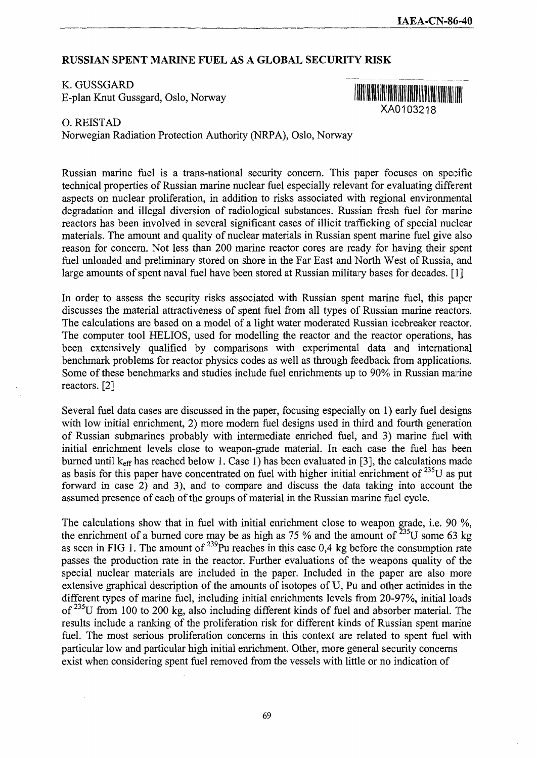## **RUSSIAN SPENT MARINE FUEL AS A GLOBAL SECURITY RISK**

## K. GUSSGARD

E-plan Knut Gussgard, Oslo, Norway



0. REISTAD

Norwegian Radiation Protection Authority (NRPA), Oslo, Norway

Russian marine fuel is a trans-national security concern. This paper focuses on specific technical properties of Russian marine nuclear fuel especially relevant for evaluating different aspects on nuclear proliferation, in addition to risks associated with regional environmental degradation and illegal diversion of radiological substances. Russian fresh fuel for marine reactors has been involved in several significant cases of illicit trafficking of special nuclear materials. The amount and quality of nuclear materials in Russian spent marine fuel give also reason for concern. Not less than 200 marine reactor cores are ready for having their spent fuel unloaded and preliminary stored on shore in the Far East and North West of Russia, and large amounts of spent naval fuel have been stored at Russian military bases for decades. [1]

In order to assess the security risks associated with Russian spent marine fuel, this paper discusses the material attractiveness of spent fuel from all types of Russian marine reactors. The calculations are based on a model of a light water moderated Russian icebreaker reactor. The computer tool HELIOS, used for modelling the reactor and the reactor operations, has been extensively qualified by comparisons with experimental data and international benchmark problems for reactor physics codes as well as through feedback from applications. Some of these benchmarks and studies include fuel enrichments up to 90% in Russian marine reactors. [2]

Several fuel data cases are discussed in the paper, focusing especially on 1) early fuel designs with low initial enrichment, 2) more modern fuel designs used in third and fourth generation of Russian submarines probably with intermediate enriched fuel, and 3) marine fuel with initial enrichment levels close to weapon-grade material. In each case the fuel has been burned until  $k_{\text{eff}}$  has reached below 1. Case 1) has been evaluated in [3], the calculations made as basis for this paper have concentrated on fuel with higher initial enrichment of  $^{235}U$  as put forward in case 2) and 3), and to compare and discuss the data taking into account the assumed presence of each of the groups of material in the Russian marine fuel cycle.

The calculations show that in fuel with initial enrichment close to weapon grade, i.e. 90 *%,* the enrichment of a burned core may be as high as 75 % and the amount of  $^{235}$ U some 63 kg as seen in FIG 1. The amount of  $^{239}$ Pu reaches in this case 0,4 kg before the consumption rate passes the production rate in the reactor. Further evaluations of the weapons quality of the special nuclear materials are included in the paper. Included in the paper are also more extensive graphical description of the amounts of isotopes of U, Pu and other actinides in the different types of marine fuel, including initial enrichments levels from 20-97%, initial loads of <sup>235</sup>U from 100 to 200 kg, also including different kinds of fuel and absorber material. The results include a ranking of the proliferation risk for different kinds of Russian spent marine fuel. The most serious proliferation concerns in this context are related to spent fuel with particular low and particular high initial enrichment. Other, more general security concerns exist when considering spent fuel removed from the vessels with **little** or no indication of